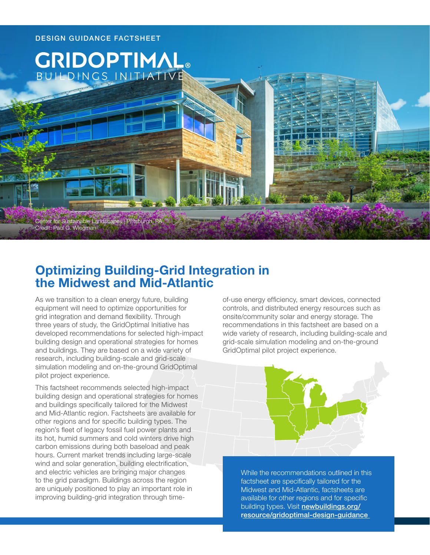

# **Optimizing Building-Grid Integration in the Midwest and Mid-Atlantic**

As we transition to a clean energy future, building equipment will need to optimize opportunities for grid integration and demand flexibility. Through three years of study, the GridOptimal Initiative has developed recommendations for selected high-impact building design and operational strategies for homes and buildings. They are based on a wide variety of research, including building-scale and grid-scale simulation modeling and on-the-ground GridOptimal pilot project experience.

This factsheet recommends selected high-impact building design and operational strategies for homes and buildings specifically tailored for the Midwest and Mid-Atlantic region. Factsheets are available for other regions and for specific building types. The region's fleet of legacy fossil fuel power plants and its hot, humid summers and cold winters drive high carbon emissions during both baseload and peak hours. Current market trends including large-scale wind and solar generation, building electrification, and electric vehicles are bringing major changes to the grid paradigm. Buildings across the region are uniquely positioned to play an important role in improving building-grid integration through time-

of-use energy efficiency, smart devices, connected controls, and distributed energy resources such as onsite/community solar and energy storage. The recommendations in this factsheet are based on a wide variety of research, including building-scale and grid-scale simulation modeling and on-the-ground GridOptimal pilot project experience.



While the recommendations outlined in this factsheet are specifically tailored for the Midwest and Mid-Atlantic, factsheets are available for other regions and for specific building types. Visit [newbuildings.org/](https://newbuildings.org/resource/gridoptimal-design-guidance) [resource/gridoptimal-design-guidance](https://newbuildings.org/resource/gridoptimal-design-guidance)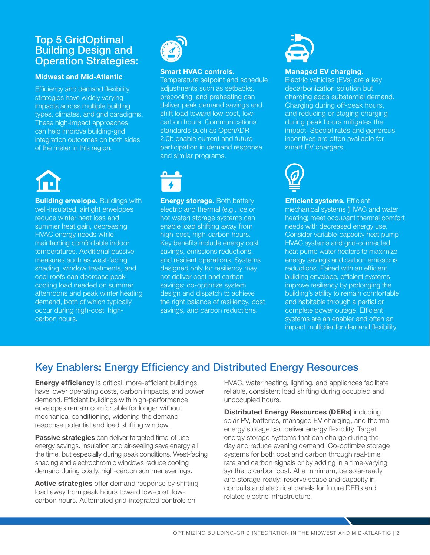### Top 5 GridOptimal Building Design and Operation Strategies:

#### **Midwest and Mid-Atlantic**

Efficiency and demand flexibility strategies have widely varying impacts across multiple building types, climates, and grid paradigms. These high-impact approaches can help improve building-grid integration outcomes on both sides of the meter in this region.



**Building envelope.** Buildings with well-insulated, airtight envelopes reduce winter heat loss and summer heat gain, decreasing HVAC energy needs while maintaining comfortable indoor temperatures. Additional passive measures such as west-facing shading, window treatments, and cool roofs can decrease peak cooling load needed on summer afternoons and peak winter heating demand, both of which typically occur during high-cost, highcarbon hours.



#### **Smart HVAC controls.**

Temperature setpoint and schedule adjustments such as setbacks, precooling, and preheating can deliver peak demand savings and shift load toward low-cost, lowcarbon hours. Communications standards such as OpenADR 2.0b enable current and future participation in demand response and similar programs.



**Energy storage.** Both battery electric and thermal (e.g., ice or hot water) storage systems can enable load shifting away from high-cost, high-carbon hours. Key benefits include energy cost savings, emissions reductions, and resilient operations. Systems designed only for resiliency may not deliver cost and carbon savings: co-optimize system design and dispatch to achieve the right balance of resiliency, cost savings, and carbon reductions.



#### **Managed EV charging.**

Electric vehicles (EVs) are a key decarbonization solution but charging adds substantial demand. Charging during off-peak hours, and reducing or staging charging during peak hours mitigates the impact. Special rates and generous incentives are often available for smart EV chargers.



**Efficient systems.** Efficient mechanical systems (HVAC and water heating) meet occupant thermal comfort needs with decreased energy use. Consider variable-capacity heat pump HVAC systems and grid-connected heat pump water heaters to maximize energy savings and carbon emissions reductions. Paired with an efficient building envelope, efficient systems improve resiliency by prolonging the building's ability to remain comfortable and habitable through a partial or complete power outage. Efficient systems are an enabler and often an impact multiplier for demand flexibility.

## Key Enablers: Energy Efficiency and Distributed Energy Resources

**Energy efficiency** is critical: more-efficient buildings have lower operating costs, carbon impacts, and power demand. Efficient buildings with high-performance envelopes remain comfortable for longer without mechanical conditioning, widening the demand response potential and load shifting window.

**Passive strategies** can deliver targeted time-of-use energy savings. Insulation and air-sealing save energy all the time, but especially during peak conditions. West-facing shading and electrochromic windows reduce cooling demand during costly, high-carbon summer evenings.

**Active strategies** offer demand response by shifting load away from peak hours toward low-cost, lowcarbon hours. Automated grid-integrated controls on

HVAC, water heating, lighting, and appliances facilitate reliable, consistent load shifting during occupied and unoccupied hours.

**Distributed Energy Resources (DERs)** including solar PV, batteries, managed EV charging, and thermal energy storage can deliver energy flexibility. Target energy storage systems that can charge during the day and reduce evening demand. Co-optimize storage systems for both cost and carbon through real-time rate and carbon signals or by adding in a time-varying synthetic carbon cost. At a minimum, be solar-ready and storage-ready: reserve space and capacity in conduits and electrical panels for future DERs and related electric infrastructure.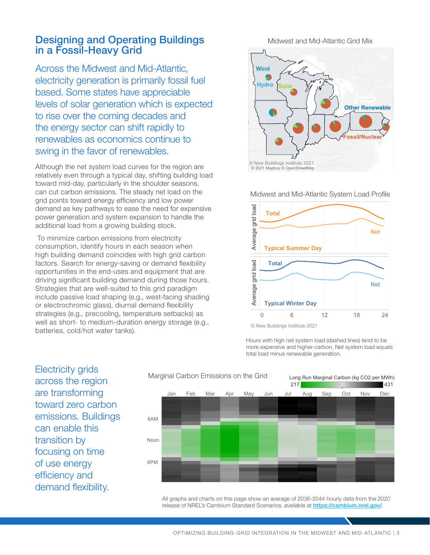#### Designing and Operating Buildings in a Fossil-Heavy Grid

Across the Midwest and Mid-Atlantic, electricity generation is primarily fossil fuel based. Some states have appreciable levels of solar generation which is expected to rise over the coming decades and the energy sector can shift rapidly to renewables as economics continue to swing in the favor of renewables.

Although the net system load curves for the region are relatively even through a typical day, shifting building load toward mid-day, particularly in the shoulder seasons, can cut carbon emissions. The steady net load on the grid points toward energy efficiency and low power demand as key pathways to ease the need for expensive power generation and system expansion to handle the additional load from a growing building stock.

 To minimize carbon emissions from electricity consumption, identify hours in each season when high building demand coincides with high grid carbon factors. Search for energy-saving or demand flexibility opportunities in the end-uses and equipment that are driving significant building demand during those hours. Strategies that are well-suited to this grid paradigm include passive load shaping (e.g., west-facing shading or electrochromic glass), diurnal demand flexibility strategies (e.g., precooling, temperature setbacks) as well as short- to medium-duration energy storage (e.g., batteries, cold/hot water tanks).

Midwest and Mid-Atlantic Grid Mix



Midwest and Mid-Atlantic System Load Profile



<sup>©</sup> New Buildings Institute 2021

Hours with high net system load (dashed lines) tend to be more expensive and higher-carbon. Net system load equals total load minus renewable generation.

Electricity grids across the region are transforming toward zero carbon emissions. Buildings can enable this transition by focusing on time of use energy efficiency and demand flexibility.



All graphs and charts on this page show an average of 2036-2044 hourly data from the 2020 release of NREL's Cambium Standard Scenarios, available at <https://cambium.nrel.gov/>.